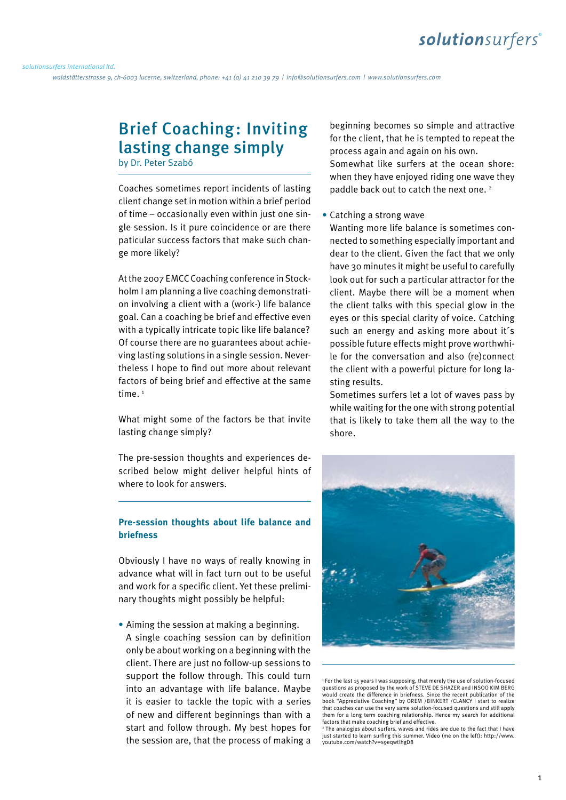waldstätterstrasse 9, ch-6003 lucerne, switzerland, phone: +41 (0) 41 210 39 79 | info@solutionsurfers.com | www.solutionsurfers.com

## Brief Coaching: Inviting lasting change simply by Dr. Peter Szabó

Coaches sometimes report incidents of lasting client change set in motion within a brief period of time – occasionally even within just one single session. Is it pure coincidence or are there paticular success factors that make such change more likely?

At the 2007 EMCC Coaching conference in Stockholm I am planning a live coaching demonstration involving a client with a (work-) life balance goal. Can a coaching be brief and effective even with a typically intricate topic like life balance? Of course there are no guarantees about achieving lasting solutions in a single session. Nevertheless I hope to find out more about relevant factors of being brief and effective at the same time.<sup>1</sup>

What might some of the factors be that invite lasting change simply?

The pre-session thoughts and experiences described below might deliver helpful hints of where to look for answers.

### **Pre-session thoughts about life balance and briefness**

Obviously I have no ways of really knowing in advance what will in fact turn out to be useful and work for a specific client. Yet these preliminary thoughts might possibly be helpful:

**•** Aiming the session at making a beginning. A single coaching session can by definition only be about working on a beginning with the client. There are just no follow-up sessions to support the follow through. This could turn into an advantage with life balance. Maybe it is easier to tackle the topic with a series of new and different beginnings than with a start and follow through. My best hopes for the session are, that the process of making a

beginning becomes so simple and attractive for the client, that he is tempted to repeat the process again and again on his own. Somewhat like surfers at the ocean shore: when they have enjoyed riding one wave they paddle back out to catch the next one. 2

### **•** Catching a strong wave

Wanting more life balance is sometimes connected to something especially important and dear to the client. Given the fact that we only have 30 minutes it might be useful to carefully look out for such a particular attractor for the client. Maybe there will be a moment when the client talks with this special glow in the eyes or this special clarity of voice. Catching such an energy and asking more about it´s possible future effects might prove worthwhile for the conversation and also (re)connect the client with a powerful picture for long lasting results.

Sometimes surfers let a lot of waves pass by while waiting for the one with strong potential that is likely to take them all the way to the shore.



<sup>1</sup> For the last 15 years I was supposing, that merely the use of solution-focused questions as proposed by the work of STEVE DE SHAZER and INSOO KIM BERG would create the difference in briefness. Since the recent publication of the book "Appreciative Coaching" by OREM /BINKERT /CLANCY I start to realize that coaches can use the very same solution-focused questions and still apply them for a long term coaching relationship. Hence my search for additional factors that make coaching brief and effective.

<sup>2</sup> The analogies about surfers, waves and rides are due to the fact that I have just started to learn surfing this summer. Video (me on the left): http://www. youtube.com/watch?v=s9eqwtlhgD8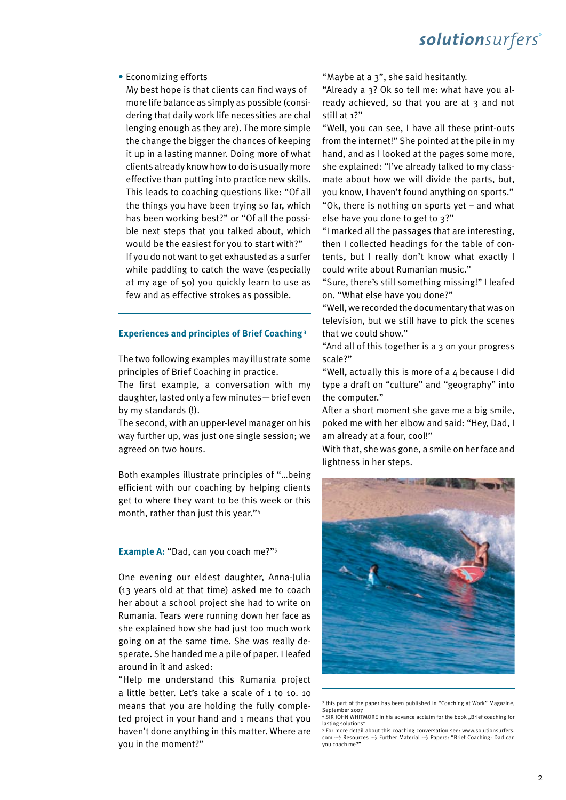# solutionsurfers®

#### **•** Economizing efforts

My best hope is that clients can find ways of more life balance as simply as possible (considering that daily work life necessities are chal lenging enough as they are). The more simple the change the bigger the chances of keeping it up in a lasting manner. Doing more of what clients already know how to do is usually more effective than putting into practice new skills. This leads to coaching questions like: "Of all the things you have been trying so far, which has been working best?" or "Of all the possible next steps that you talked about, which would be the easiest for you to start with?" If you do not want to get exhausted as a surfer while paddling to catch the wave (especially at my age of 50) you quickly learn to use as few and as effective strokes as possible.

### **Experiences and principles of Brief Coaching 3**

The two following examples may illustrate some principles of Brief Coaching in practice.

The first example, a conversation with my daughter, lasted only a few minutes—brief even by my standards (!).

The second, with an upper-level manager on his way further up, was just one single session; we agreed on two hours.

Both examples illustrate principles of "…being efficient with our coaching by helping clients get to where they want to be this week or this month, rather than just this year."4

#### **Example A:** "Dad, can you coach me?"5

One evening our eldest daughter, Anna-Julia (13 years old at that time) asked me to coach her about a school project she had to write on Rumania. Tears were running down her face as she explained how she had just too much work going on at the same time. She was really desperate. She handed me a pile of paper. I leafed around in it and asked:

"Help me understand this Rumania project a little better. Let's take a scale of 1 to 10. 10 means that you are holding the fully completed project in your hand and 1 means that you haven't done anything in this matter. Where are you in the moment?"

"Maybe at a 3", she said hesitantly. *] JOGP!TPMVUJPOTVSGFSTDPN] XXXTPMVUJPOTVSGFSTDPN*

"Already a 3? Ok so tell me: what have you already achieved, so that you are at 3 and not still at 1?"

"Well, you can see, I have all these print-outs from the internet!" She pointed at the pile in my hand, and as I looked at the pages some more, she explained: "I've already talked to my classmate about how we will divide the parts, but, you know, I haven't found anything on sports."

"Ok, there is nothing on sports yet – and what else have you done to get to 3?"

"I marked all the passages that are interesting, then I collected headings for the table of contents, but I really don't know what exactly I could write about Rumanian music."

"Sure, there's still something missing!" I leafed on. "What else have you done?"

"Well, we recorded the documentary that was on television, but we still have to pick the scenes that we could show."

"And all of this together is a 3 on your progress scale?"

"Well, actually this is more of a 4 because I did type a draft on "culture" and "geography" into the computer."

After a short moment she gave me a big smile, poked me with her elbow and said: "Hey, Dad, I am already at a four, cool!"

With that, she was gone, a smile on her face and lightness in her steps.



<sup>3</sup> this part of the paper has been published in "Coaching at Work" Magazine, September 2007

<sup>&</sup>lt;sup>4</sup> SIR JOHN WHITMORE in his advance acclaim for the book "Brief coaching for lasting solutions'

<sup>5</sup> For more detail about this coaching conversation see: www.solutionsurfers. com  $\rightarrow$  Resources  $\rightarrow$  Further Material  $\rightarrow$  Papers: "Brief Coaching: Dad can you coach me?"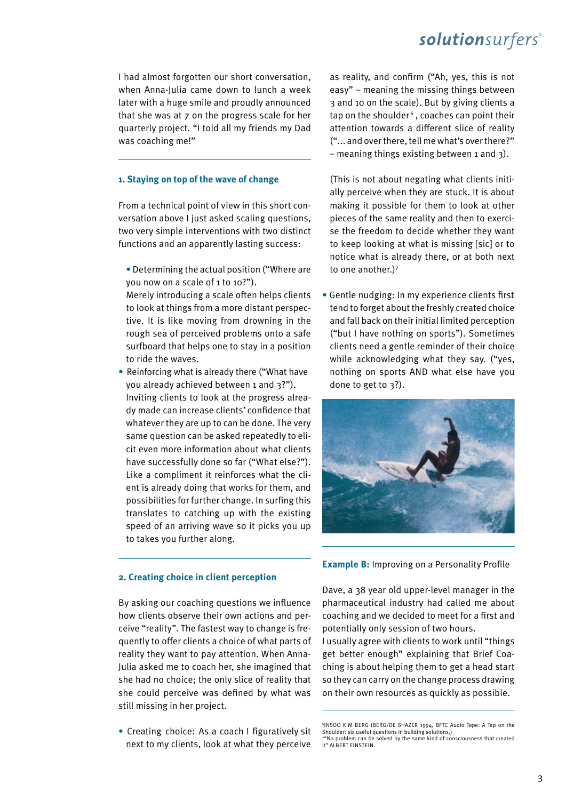### **1. Staying on top of the wave of change**

From a technical point of view in this short conversation above I just asked scaling questions, two very simple interventions with two distinct functions and an apparently lasting success:

- **•** Determining the actual position ("Where are you now on a scale of 1 to 10?").
- Merely introducing a scale often helps clients to look at things from a more distant perspective. It is like moving from drowning in the rough sea of perceived problems onto a safe surfboard that helps one to stay in a position to ride the waves.
- **•** Reinforcing what is already there ("What have you already achieved between 1 and 3?"). Inviting clients to look at the progress already made can increase clients' confidence that whatever they are up to can be done. The very same question can be asked repeatedly to elicit even more information about what clients have successfully done so far ("What else?"). Like a compliment it reinforces what the client is already doing that works for them, and possibilities for further change. In surfing this translates to catching up with the existing speed of an arriving wave so it picks you up to takes you further along.

# solutionsurfers®

ort conversation, as reality, and confirm ("Ah, yes, this is not easy" – meaning the missing things between 3 and 10 on the scale). But by giving clients a tap on the shoulder<sup>6</sup>, coaches can point their attention towards a different slice of reality ("... and over there, tell me what's over there?" – meaning things existing between 1 and 3).

> (This is not about negating what clients initially perceive when they are stuck. It is about making it possible for them to look at other pieces of the same reality and then to exercise the freedom to decide whether they want to keep looking at what is missing [sic] or to notice what is already there, or at both next to one another.)7

**•** Gentle nudging: In my experience clients first tend to forget about the freshly created choice and fall back on their initial limited perception ("but I have nothing on sports"). Sometimes clients need a gentle reminder of their choice while acknowledging what they say. ("yes, nothing on sports AND what else have you done to get to 3?).



**Example B:** Improving on a Personality Profile

By asking our coaching questions we influence how clients observe their own actions and perceive "reality". The fastest way to change is frequently to offer clients a choice of what parts of reality they want to pay attention. When Anna-Julia asked me to coach her, she imagined that she had no choice; the only slice of reality that she could perceive was defined by what was still missing in her project.

**2. Creating choice in client perception**

**•** Creating choice: As a coach I figuratively sit next to my clients, look at what they perceive Dave, a 38 year old upper-level manager in the pharmaceutical industry had called me about coaching and we decided to meet for a first and potentially only session of two hours.

I usually agree with clients to work until "things get better enough" explaining that Brief Coaching is about helping them to get a head start so they can carry on the change process drawing on their own resources as quickly as possible.

<sup>6</sup> INSOO KIM BERG (BERG/DE SHAZER 1994, BFTC Audio Tape: A Tap on the Shoulder: six useful questions in building solutions.) "No problem can be solved by the same kind of consciousness that created it" ALBERT FINSTEIN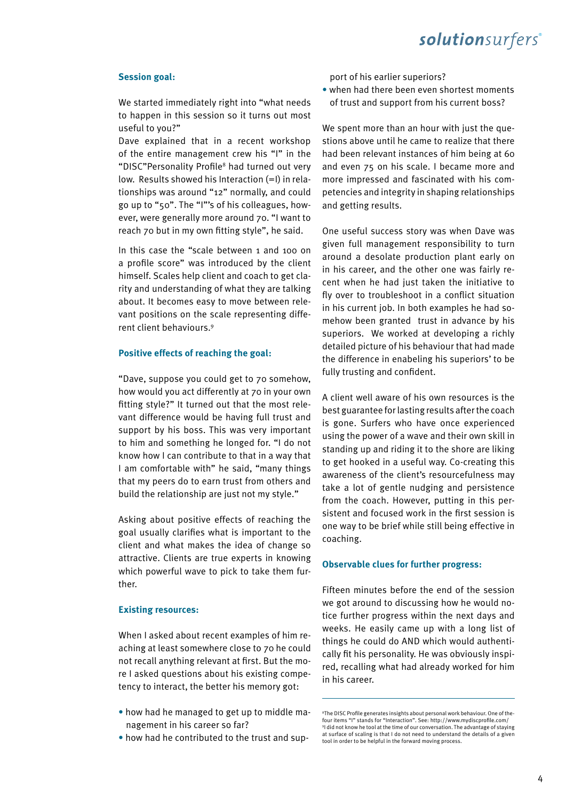# solutionsurfers®

### **Session goal:**

We started immediately right into "what needs to happen in this session so it turns out most useful to you?"

Dave explained that in a recent workshop of the entire management crew his "I" in the "DISC"Personality Profile<sup>8</sup> had turned out very low. Results showed his Interaction (=I) in relationships was around "12" normally, and could go up to "50". The "I"'s of his colleagues, however, were generally more around 70. "I want to reach 70 but in my own fitting style", he said.

In this case the "scale between 1 and 100 on a profile score" was introduced by the client himself. Scales help client and coach to get clarity and understanding of what they are talking about. It becomes easy to move between relevant positions on the scale representing different client behaviours.9

### **Positive effects of reaching the goal:**

"Dave, suppose you could get to 70 somehow, how would you act differently at 70 in your own fitting style?" It turned out that the most relevant difference would be having full trust and support by his boss. This was very important to him and something he longed for. "I do not know how I can contribute to that in a way that I am comfortable with" he said, "many things that my peers do to earn trust from others and build the relationship are just not my style."

Asking about positive effects of reaching the goal usually clarifies what is important to the client and what makes the idea of change so attractive. Clients are true experts in knowing which powerful wave to pick to take them further.

### **Existing resources:**

When I asked about recent examples of him reaching at least somewhere close to 70 he could not recall anything relevant at first. But the more I asked questions about his existing competency to interact, the better his memory got:

- how had he managed to get up to middle management in his career so far?
- how had he contributed to the trust and sup-

*port of his earlier superiors?* 

• when had there been even shortest moments of trust and support from his current boss?

We spent more than an hour with just the questions above until he came to realize that there had been relevant instances of him being at 60 and even 75 on his scale. I became more and more impressed and fascinated with his competencies and integrity in shaping relationships and getting results.

One useful success story was when Dave was given full management responsibility to turn around a desolate production plant early on in his career, and the other one was fairly recent when he had just taken the initiative to fly over to troubleshoot in a conflict situation in his current job. In both examples he had somehow been granted trust in advance by his superiors. We worked at developing a richly detailed picture of his behaviour that had made the difference in enabeling his superiors' to be fully trusting and confident.

A client well aware of his own resources is the best guarantee for lasting results after the coach is gone. Surfers who have once experienced using the power of a wave and their own skill in standing up and riding it to the shore are liking to get hooked in a useful way. Co-creating this awareness of the client's resourcefulness may take a lot of gentle nudging and persistence from the coach. However, putting in this persistent and focused work in the first session is one way to be brief while still being effective in coaching.

### **Observable clues for further progress:**

Fifteen minutes before the end of the session we got around to discussing how he would notice further progress within the next days and weeks. He easily came up with a long list of things he could do AND which would authentically fit his personality. He was obviously inspired, recalling what had already worked for him in his career.

<sup>8</sup> The DISC Profile generates insights about personal work behaviour. One of thefour items "I" stands for "Interaction". See: http://www.mydiscprofile.com/ 9 I did not know he tool at the time of our conversation. The advantage of staying at surface of scaling is that I do not need to understand the details of a given tool in order to be helpful in the forward moving process.